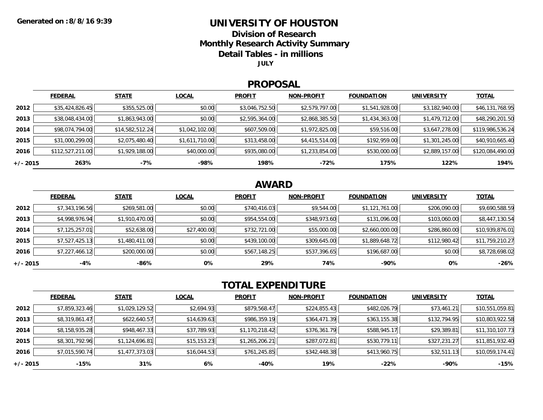### **UNIVERSITY OF HOUSTON**

**Division of Research**

**Monthly Research Activity Summary**

**Detail Tables - in millions**

**JULY**

#### **PROPOSAL**

|            | <b>FEDERAL</b>   | <b>STATE</b>    | <b>LOCAL</b>   | <b>PROFIT</b>  | <b>NON-PROFIT</b> | <b>FOUNDATION</b> | <b>UNIVERSITY</b> | <b>TOTAL</b>     |
|------------|------------------|-----------------|----------------|----------------|-------------------|-------------------|-------------------|------------------|
| 2012       | \$35,424,826.45  | \$355,525.00    | \$0.00         | \$3,046,752.50 | \$2,579,797.00    | \$1,541,928.00    | \$3,182,940.00    | \$46,131,768.95  |
| 2013       | \$38,048,434.00  | \$1,863,943.00  | \$0.00         | \$2,595,364.00 | \$2,868,385.50    | \$1,434,363.00    | \$1,479,712.00    | \$48,290,201.50  |
| 2014       | \$98,074,794.00  | \$14,582,512.24 | \$1,042,102.00 | \$607,509.00   | \$1,972,825.00    | \$59,516.00       | \$3,647,278.00    | \$119,986,536.24 |
| 2015       | \$31,000,299.00  | \$2,075,480.40  | \$1,611,710.00 | \$313,458.00   | \$4,415,514.00    | \$192,959.00      | \$1,301,245.00    | \$40,910,665.40  |
| 2016       | \$112,527,211.00 | \$1,929,188.00  | \$40,000.00    | \$935,080.00   | \$1,233,854.00    | \$530,000.00      | \$2,889,157.00    | \$120,084,490.00 |
| $+/- 2015$ | 263%             | $-7%$           | $-98%$         | 198%           | $-72%$            | 175%              | 122%              | 194%             |

## **AWARD**

|            | <b>FEDERAL</b> | <b>STATE</b>   | <b>LOCAL</b> | <b>PROFIT</b> | <b>NON-PROFIT</b> | <b>FOUNDATION</b> | <b>UNIVERSITY</b> | <b>TOTAL</b>    |
|------------|----------------|----------------|--------------|---------------|-------------------|-------------------|-------------------|-----------------|
| 2012       | \$7,343,196.56 | \$269,581.00   | \$0.00       | \$740,416.03  | \$9,544.00        | \$1,121,761.00    | \$206,090.00      | \$9,690,588.59  |
| 2013       | \$4,998,976.94 | \$1,910,470.00 | \$0.00       | \$954,554.00  | \$348,973.60      | \$131,096.00      | \$103,060.00      | \$8,447,130.54  |
| 2014       | \$7,125,257.01 | \$52,638.00    | \$27,400.00  | \$732,721.00  | \$55,000.00       | \$2,660,000.00    | \$286,860.00      | \$10,939,876.01 |
| 2015       | \$7,527,425.13 | \$1,480,411.00 | \$0.00       | \$439,100.00  | \$309,645.00      | \$1,889,648.72    | \$112,980.42      | \$11,759,210.27 |
| 2016       | \$7,227,466.12 | \$200,000.00   | \$0.00       | \$567,148.25  | \$537,396.65      | \$196,687.00      | \$0.00            | \$8,728,698.02  |
| $+/- 2015$ | $-4%$          | -86%           | 0%           | 29%           | 74%               | $-90%$            | 0%                | $-26%$          |

# **TOTAL EXPENDITURE**

|          | <b>FEDERAL</b> | <b>STATE</b>   | <b>LOCAL</b> | <b>PROFIT</b>  | <b>NON-PROFIT</b> | <b>FOUNDATION</b> | <b>UNIVERSITY</b> | <b>TOTAL</b>    |
|----------|----------------|----------------|--------------|----------------|-------------------|-------------------|-------------------|-----------------|
| 2012     | \$7,859,323.46 | \$1,029,129.52 | \$2,694.93   | \$879,568.47   | \$224,855.43      | \$482,026.79      | \$73,461.21       | \$10,551,059.81 |
| 2013     | \$8,319,861.47 | \$622,640.57   | \$14,639.63  | \$986,359.19   | \$364,471.39      | \$363,155.38      | \$132,794.95      | \$10,803,922.58 |
| 2014     | \$8,158,935.28 | \$948,467.33   | \$37,789.93  | \$1,170,218.42 | \$376,361.79      | \$588,945.17      | \$29,389.81       | \$11,310,107.73 |
| 2015     | \$8,301,792.96 | \$1,124,696.81 | \$15,153.23  | \$1,265,206.21 | \$287,072.81      | \$530,779.11      | \$327,231.27      | \$11,851,932.40 |
| 2016     | \$7,015,590.74 | \$1,477,373.03 | \$16,044.53  | \$761,245.85   | \$342,448.38      | \$413,960.75      | \$32,511.13       | \$10,059,174.41 |
| +/- 2015 | -15%           | 31%            | 6%           | -40%           | 19%               | -22%              | -90%              | -15%            |